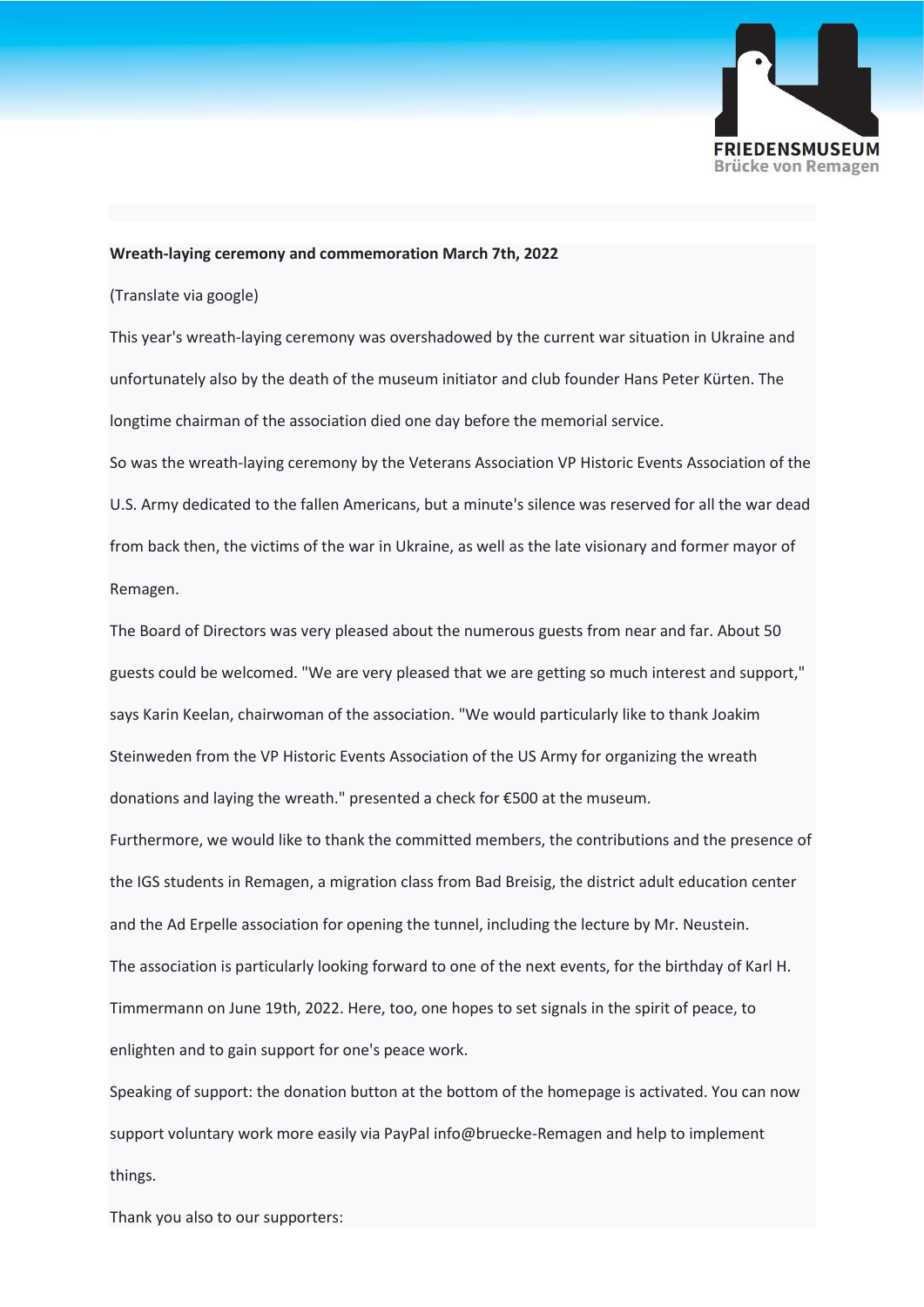

## **Wreath-laying ceremony and commemoration March 7th, 2022**

(Translate via google)

This year's wreath-laying ceremony was overshadowed by the current war situation in Ukraine and unfortunately also by the death of the museum initiator and club founder Hans Peter Kürten. The longtime chairman of the association died one day before the memorial service.

So was the wreath-laying ceremony by the Veterans Association VP Historic Events Association of the U.S. Army dedicated to the fallen Americans, but a minute's silence was reserved for all the war dead from back then, the victims of the war in Ukraine, as well as the late visionary and former mayor of Remagen.

The Board of Directors was very pleased about the numerous guests from near and far. About 50 guests could be welcomed. "We are very pleased that we are getting so much interest and support," says Karin Keelan, chairwoman of the association. "We would particularly like to thank Joakim Steinweden from the VP Historic Events Association of the US Army for organizing the wreath donations and laying the wreath." presented a check for €500 at the museum.

Furthermore, we would like to thank the committed members, the contributions and the presence of the IGS students in Remagen, a migration class from Bad Breisig, the district adult education center and the Ad Erpelle association for opening the tunnel, including the lecture by Mr. Neustein. The association is particularly looking forward to one of the next events, for the birthday of Karl H. Timmermann on June 19th, 2022. Here, too, one hopes to set signals in the spirit of peace, to enlighten and to gain support for one's peace work.

Speaking of support: the donation button at the bottom of the homepage is activated. You can now support voluntary work more easily via PayPal info@bruecke-Remagen and help to implement things.

Thank you also to our supporters: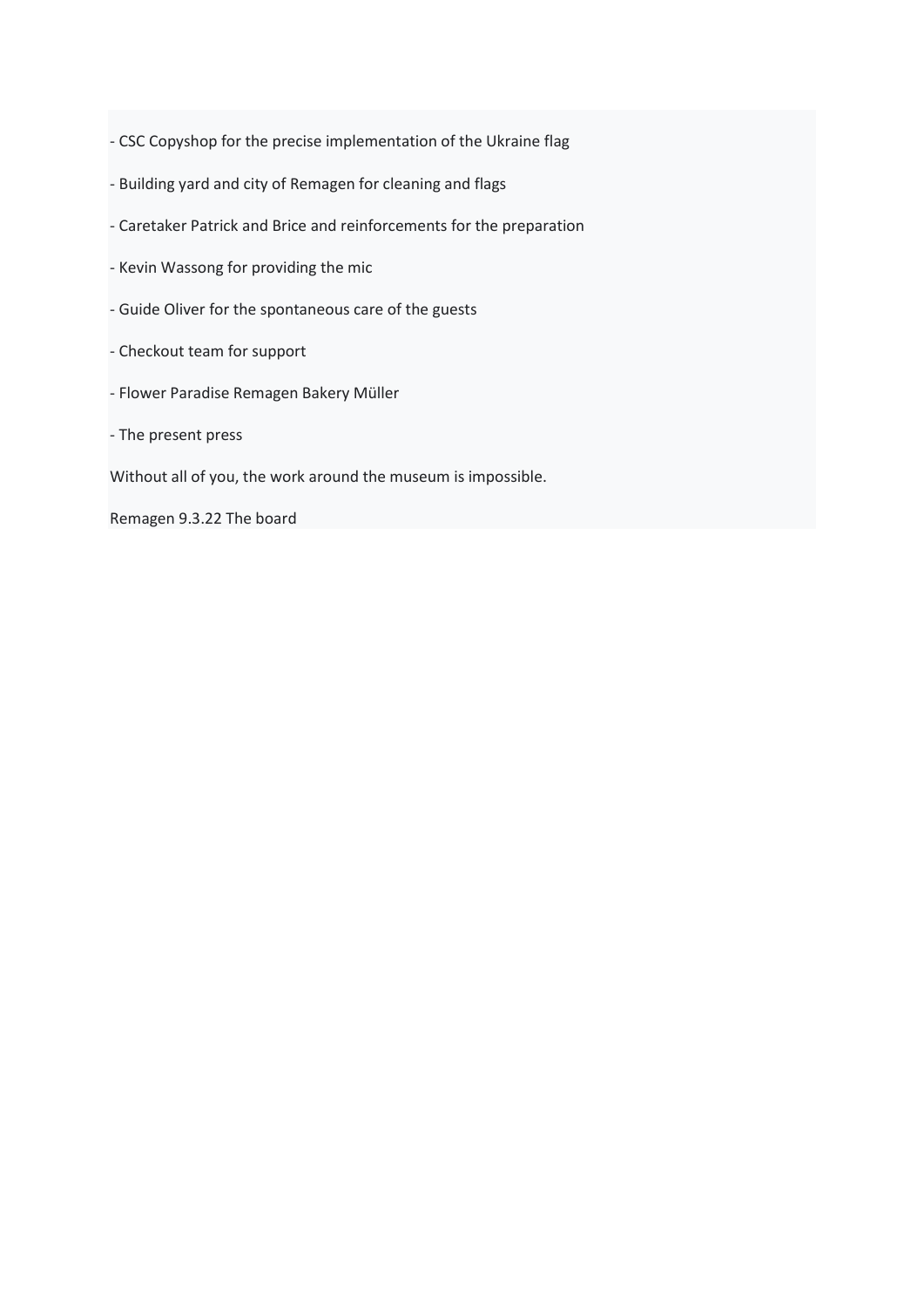- CSC Copyshop for the precise implementation of the Ukraine flag

- Building yard and city of Remagen for cleaning and flags
- Caretaker Patrick and Brice and reinforcements for the preparation
- Kevin Wassong for providing the mic
- Guide Oliver for the spontaneous care of the guests
- Checkout team for support
- Flower Paradise Remagen Bakery Müller
- The present press

Without all of you, the work around the museum is impossible.

Remagen 9.3.22 The board